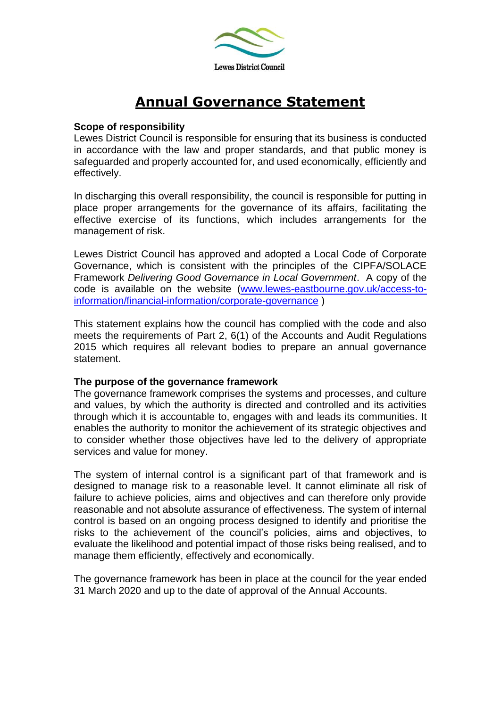

# **Annual Governance Statement**

#### **Scope of responsibility**

Lewes District Council is responsible for ensuring that its business is conducted in accordance with the law and proper standards, and that public money is safeguarded and properly accounted for, and used economically, efficiently and effectively.

In discharging this overall responsibility, the council is responsible for putting in place proper arrangements for the governance of its affairs, facilitating the effective exercise of its functions, which includes arrangements for the management of risk.

Lewes District Council has approved and adopted a Local Code of Corporate Governance, which is consistent with the principles of the CIPFA/SOLACE Framework *Delivering Good Governance in Local Government*. A copy of the code is available on the website [\(www.lewes-eastbourne.gov.uk/access-to](http://www.lewes-eastbourne.gov.uk/access-to-information/financial-information/corporate-governance)[information/financial-information/corporate-governance](http://www.lewes-eastbourne.gov.uk/access-to-information/financial-information/corporate-governance) )

This statement explains how the council has complied with the code and also meets the requirements of Part 2, 6(1) of the Accounts and Audit Regulations 2015 which requires all relevant bodies to prepare an annual governance statement.

#### **The purpose of the governance framework**

The governance framework comprises the systems and processes, and culture and values, by which the authority is directed and controlled and its activities through which it is accountable to, engages with and leads its communities. It enables the authority to monitor the achievement of its strategic objectives and to consider whether those objectives have led to the delivery of appropriate services and value for money.

The system of internal control is a significant part of that framework and is designed to manage risk to a reasonable level. It cannot eliminate all risk of failure to achieve policies, aims and objectives and can therefore only provide reasonable and not absolute assurance of effectiveness. The system of internal control is based on an ongoing process designed to identify and prioritise the risks to the achievement of the council's policies, aims and objectives, to evaluate the likelihood and potential impact of those risks being realised, and to manage them efficiently, effectively and economically.

The governance framework has been in place at the council for the year ended 31 March 2020 and up to the date of approval of the Annual Accounts.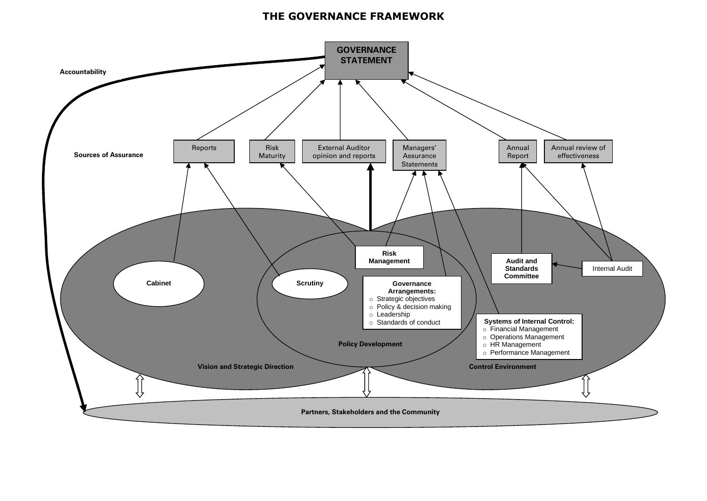# **THE GOVERNANCE FRAMEWORK**

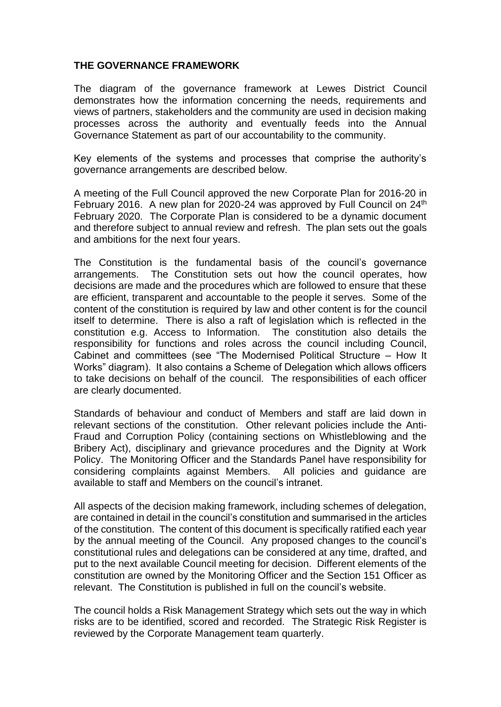#### **THE GOVERNANCE FRAMEWORK**

The diagram of the governance framework at Lewes District Council demonstrates how the information concerning the needs, requirements and views of partners, stakeholders and the community are used in decision making processes across the authority and eventually feeds into the Annual Governance Statement as part of our accountability to the community.

Key elements of the systems and processes that comprise the authority's governance arrangements are described below.

A meeting of the Full Council approved the new Corporate Plan for 2016-20 in February 2016. A new plan for 2020-24 was approved by Full Council on 24<sup>th</sup> February 2020. The Corporate Plan is considered to be a dynamic document and therefore subject to annual review and refresh. The plan sets out the goals and ambitions for the next four years.

The Constitution is the fundamental basis of the council's governance arrangements. The Constitution sets out how the council operates, how decisions are made and the procedures which are followed to ensure that these are efficient, transparent and accountable to the people it serves. Some of the content of the constitution is required by law and other content is for the council itself to determine. There is also a raft of legislation which is reflected in the constitution e.g. Access to Information. The constitution also details the responsibility for functions and roles across the council including Council, Cabinet and committees (see "The Modernised Political Structure – How It Works" diagram). It also contains a Scheme of Delegation which allows officers to take decisions on behalf of the council. The responsibilities of each officer are clearly documented.

Standards of behaviour and conduct of Members and staff are laid down in relevant sections of the constitution. Other relevant policies include the Anti-Fraud and Corruption Policy (containing sections on Whistleblowing and the Bribery Act), disciplinary and grievance procedures and the Dignity at Work Policy. The Monitoring Officer and the Standards Panel have responsibility for considering complaints against Members. All policies and guidance are available to staff and Members on the council's intranet.

All aspects of the decision making framework, including schemes of delegation, are contained in detail in the council's constitution and summarised in the articles of the constitution. The content of this document is specifically ratified each year by the annual meeting of the Council. Any proposed changes to the council's constitutional rules and delegations can be considered at any time, drafted, and put to the next available Council meeting for decision. Different elements of the constitution are owned by the Monitoring Officer and the Section 151 Officer as relevant. The Constitution is published in full on the council's website.

The council holds a Risk Management Strategy which sets out the way in which risks are to be identified, scored and recorded. The Strategic Risk Register is reviewed by the Corporate Management team quarterly.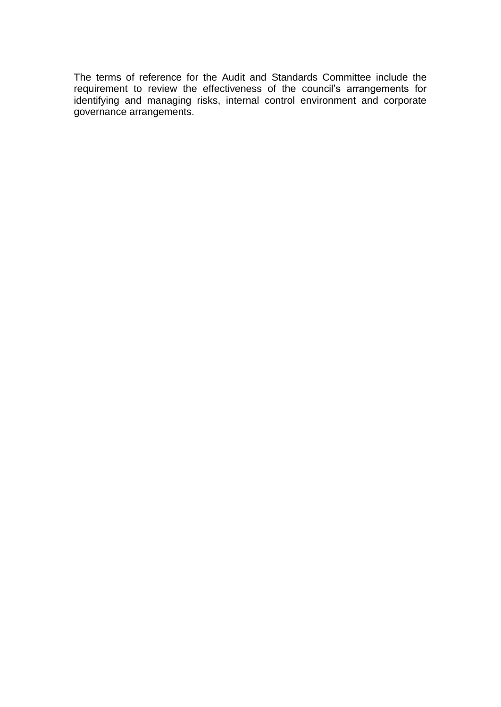The terms of reference for the Audit and Standards Committee include the requirement to review the effectiveness of the council's arrangements for identifying and managing risks, internal control environment and corporate governance arrangements.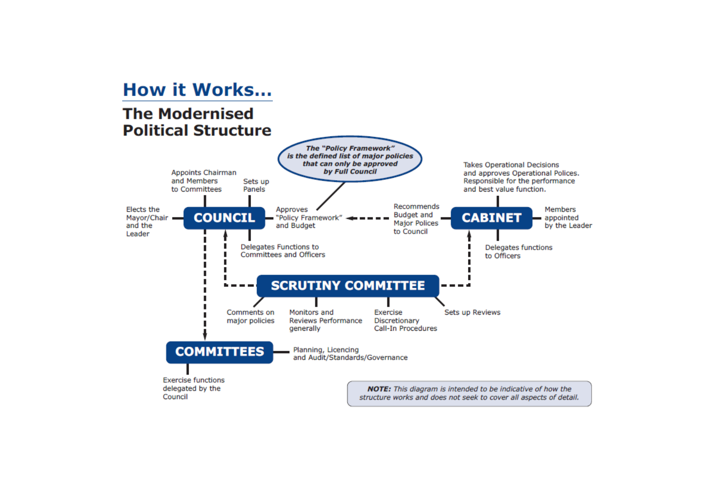# **How it Works...**

# **The Modernised Political Structure**

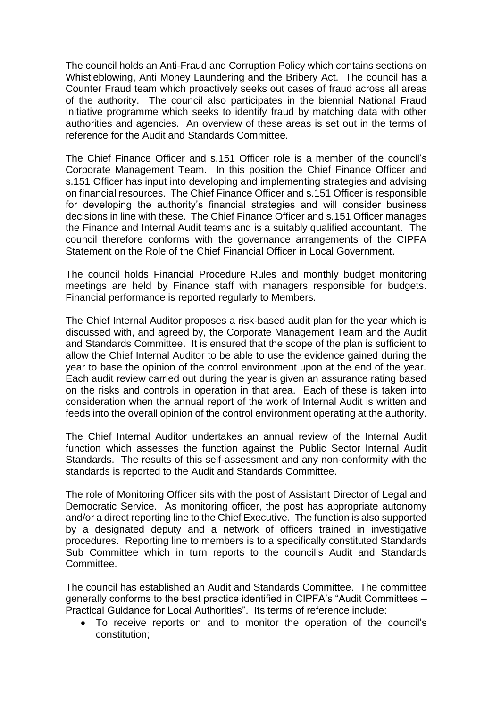The council holds an Anti-Fraud and Corruption Policy which contains sections on Whistleblowing, Anti Money Laundering and the Bribery Act. The council has a Counter Fraud team which proactively seeks out cases of fraud across all areas of the authority. The council also participates in the biennial National Fraud Initiative programme which seeks to identify fraud by matching data with other authorities and agencies. An overview of these areas is set out in the terms of reference for the Audit and Standards Committee.

The Chief Finance Officer and s.151 Officer role is a member of the council's Corporate Management Team. In this position the Chief Finance Officer and s.151 Officer has input into developing and implementing strategies and advising on financial resources. The Chief Finance Officer and s.151 Officer is responsible for developing the authority's financial strategies and will consider business decisions in line with these. The Chief Finance Officer and s.151 Officer manages the Finance and Internal Audit teams and is a suitably qualified accountant. The council therefore conforms with the governance arrangements of the CIPFA Statement on the Role of the Chief Financial Officer in Local Government.

The council holds Financial Procedure Rules and monthly budget monitoring meetings are held by Finance staff with managers responsible for budgets. Financial performance is reported regularly to Members.

The Chief Internal Auditor proposes a risk-based audit plan for the year which is discussed with, and agreed by, the Corporate Management Team and the Audit and Standards Committee. It is ensured that the scope of the plan is sufficient to allow the Chief Internal Auditor to be able to use the evidence gained during the year to base the opinion of the control environment upon at the end of the year. Each audit review carried out during the year is given an assurance rating based on the risks and controls in operation in that area. Each of these is taken into consideration when the annual report of the work of Internal Audit is written and feeds into the overall opinion of the control environment operating at the authority.

The Chief Internal Auditor undertakes an annual review of the Internal Audit function which assesses the function against the Public Sector Internal Audit Standards. The results of this self-assessment and any non-conformity with the standards is reported to the Audit and Standards Committee.

The role of Monitoring Officer sits with the post of Assistant Director of Legal and Democratic Service. As monitoring officer, the post has appropriate autonomy and/or a direct reporting line to the Chief Executive. The function is also supported by a designated deputy and a network of officers trained in investigative procedures. Reporting line to members is to a specifically constituted Standards Sub Committee which in turn reports to the council's Audit and Standards Committee.

The council has established an Audit and Standards Committee. The committee generally conforms to the best practice identified in CIPFA's "Audit Committees – Practical Guidance for Local Authorities". Its terms of reference include:

• To receive reports on and to monitor the operation of the council's constitution;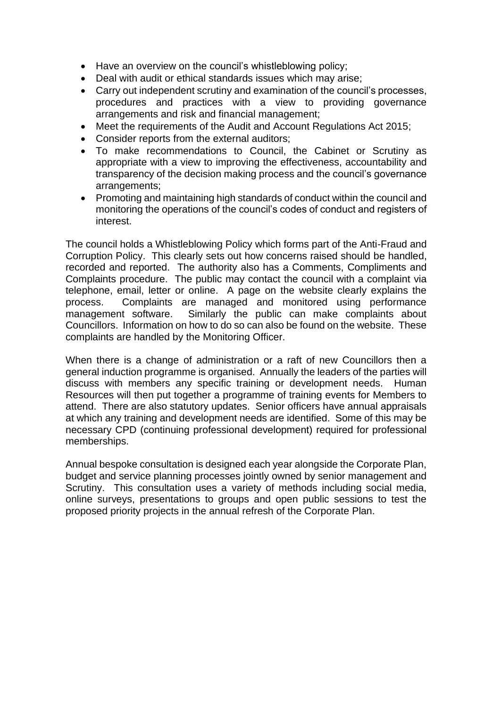- Have an overview on the council's whistleblowing policy;
- Deal with audit or ethical standards issues which may arise;
- Carry out independent scrutiny and examination of the council's processes, procedures and practices with a view to providing governance arrangements and risk and financial management;
- Meet the requirements of the Audit and Account Regulations Act 2015;
- Consider reports from the external auditors;
- To make recommendations to Council, the Cabinet or Scrutiny as appropriate with a view to improving the effectiveness, accountability and transparency of the decision making process and the council's governance arrangements;
- Promoting and maintaining high standards of conduct within the council and monitoring the operations of the council's codes of conduct and registers of interest.

The council holds a Whistleblowing Policy which forms part of the Anti-Fraud and Corruption Policy. This clearly sets out how concerns raised should be handled, recorded and reported. The authority also has a Comments, Compliments and Complaints procedure. The public may contact the council with a complaint via telephone, email, letter or online. A page on the website clearly explains the process. Complaints are managed and monitored using performance management software. Similarly the public can make complaints about Councillors. Information on how to do so can also be found on the website. These complaints are handled by the Monitoring Officer.

When there is a change of administration or a raft of new Councillors then a general induction programme is organised. Annually the leaders of the parties will discuss with members any specific training or development needs. Human Resources will then put together a programme of training events for Members to attend. There are also statutory updates. Senior officers have annual appraisals at which any training and development needs are identified. Some of this may be necessary CPD (continuing professional development) required for professional memberships.

Annual bespoke consultation is designed each year alongside the Corporate Plan, budget and service planning processes jointly owned by senior management and Scrutiny. This consultation uses a variety of methods including social media, online surveys, presentations to groups and open public sessions to test the proposed priority projects in the annual refresh of the Corporate Plan.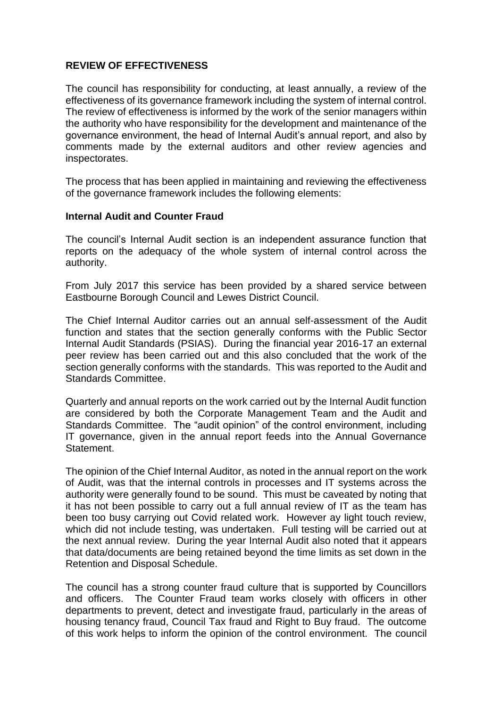#### **REVIEW OF EFFECTIVENESS**

The council has responsibility for conducting, at least annually, a review of the effectiveness of its governance framework including the system of internal control. The review of effectiveness is informed by the work of the senior managers within the authority who have responsibility for the development and maintenance of the governance environment, the head of Internal Audit's annual report, and also by comments made by the external auditors and other review agencies and inspectorates.

The process that has been applied in maintaining and reviewing the effectiveness of the governance framework includes the following elements:

#### **Internal Audit and Counter Fraud**

The council's Internal Audit section is an independent assurance function that reports on the adequacy of the whole system of internal control across the authority.

From July 2017 this service has been provided by a shared service between Eastbourne Borough Council and Lewes District Council.

The Chief Internal Auditor carries out an annual self-assessment of the Audit function and states that the section generally conforms with the Public Sector Internal Audit Standards (PSIAS). During the financial year 2016-17 an external peer review has been carried out and this also concluded that the work of the section generally conforms with the standards. This was reported to the Audit and Standards Committee.

Quarterly and annual reports on the work carried out by the Internal Audit function are considered by both the Corporate Management Team and the Audit and Standards Committee. The "audit opinion" of the control environment, including IT governance, given in the annual report feeds into the Annual Governance Statement.

The opinion of the Chief Internal Auditor, as noted in the annual report on the work of Audit, was that the internal controls in processes and IT systems across the authority were generally found to be sound. This must be caveated by noting that it has not been possible to carry out a full annual review of IT as the team has been too busy carrying out Covid related work. However ay light touch review, which did not include testing, was undertaken. Full testing will be carried out at the next annual review. During the year Internal Audit also noted that it appears that data/documents are being retained beyond the time limits as set down in the Retention and Disposal Schedule.

The council has a strong counter fraud culture that is supported by Councillors and officers. The Counter Fraud team works closely with officers in other departments to prevent, detect and investigate fraud, particularly in the areas of housing tenancy fraud, Council Tax fraud and Right to Buy fraud. The outcome of this work helps to inform the opinion of the control environment. The council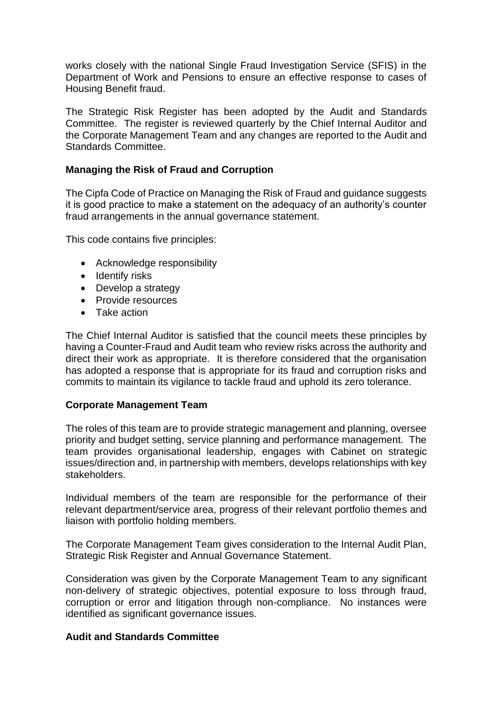works closely with the national Single Fraud Investigation Service (SFIS) in the Department of Work and Pensions to ensure an effective response to cases of Housing Benefit fraud.

The Strategic Risk Register has been adopted by the Audit and Standards Committee. The register is reviewed quarterly by the Chief Internal Auditor and the Corporate Management Team and any changes are reported to the Audit and Standards Committee.

## **Managing the Risk of Fraud and Corruption**

The Cipfa Code of Practice on Managing the Risk of Fraud and guidance suggests it is good practice to make a statement on the adequacy of an authority's counter fraud arrangements in the annual governance statement.

This code contains five principles:

- Acknowledge responsibility
- Identify risks
- Develop a strategy
- Provide resources
- Take action

The Chief Internal Auditor is satisfied that the council meets these principles by having a Counter-Fraud and Audit team who review risks across the authority and direct their work as appropriate. It is therefore considered that the organisation has adopted a response that is appropriate for its fraud and corruption risks and commits to maintain its vigilance to tackle fraud and uphold its zero tolerance.

#### **Corporate Management Team**

The roles of this team are to provide strategic management and planning, oversee priority and budget setting, service planning and performance management. The team provides organisational leadership, engages with Cabinet on strategic issues/direction and, in partnership with members, develops relationships with key stakeholders.

Individual members of the team are responsible for the performance of their relevant department/service area, progress of their relevant portfolio themes and liaison with portfolio holding members.

The Corporate Management Team gives consideration to the Internal Audit Plan, Strategic Risk Register and Annual Governance Statement.

Consideration was given by the Corporate Management Team to any significant non-delivery of strategic objectives, potential exposure to loss through fraud, corruption or error and litigation through non-compliance. No instances were identified as significant governance issues.

#### **Audit and Standards Committee**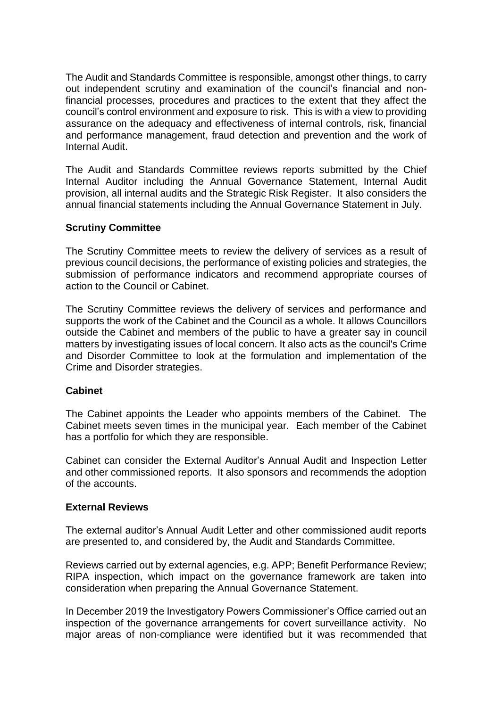The Audit and Standards Committee is responsible, amongst other things, to carry out independent scrutiny and examination of the council's financial and nonfinancial processes, procedures and practices to the extent that they affect the council's control environment and exposure to risk. This is with a view to providing assurance on the adequacy and effectiveness of internal controls, risk, financial and performance management, fraud detection and prevention and the work of Internal Audit.

The Audit and Standards Committee reviews reports submitted by the Chief Internal Auditor including the Annual Governance Statement, Internal Audit provision, all internal audits and the Strategic Risk Register. It also considers the annual financial statements including the Annual Governance Statement in July.

#### **Scrutiny Committee**

The Scrutiny Committee meets to review the delivery of services as a result of previous council decisions, the performance of existing policies and strategies, the submission of performance indicators and recommend appropriate courses of action to the Council or Cabinet.

The Scrutiny Committee reviews the delivery of services and performance and supports the work of the Cabinet and the Council as a whole. It allows Councillors outside the Cabinet and members of the public to have a greater say in council matters by investigating issues of local concern. It also acts as the council's Crime and Disorder Committee to look at the formulation and implementation of the Crime and Disorder strategies.

#### **Cabinet**

The Cabinet appoints the Leader who appoints members of the Cabinet. The Cabinet meets seven times in the municipal year. Each member of the Cabinet has a portfolio for which they are responsible.

Cabinet can consider the External Auditor's Annual Audit and Inspection Letter and other commissioned reports. It also sponsors and recommends the adoption of the accounts.

# **External Reviews**

The external auditor's Annual Audit Letter and other commissioned audit reports are presented to, and considered by, the Audit and Standards Committee.

Reviews carried out by external agencies, e.g. APP; Benefit Performance Review; RIPA inspection, which impact on the governance framework are taken into consideration when preparing the Annual Governance Statement.

In December 2019 the Investigatory Powers Commissioner's Office carried out an inspection of the governance arrangements for covert surveillance activity. No major areas of non-compliance were identified but it was recommended that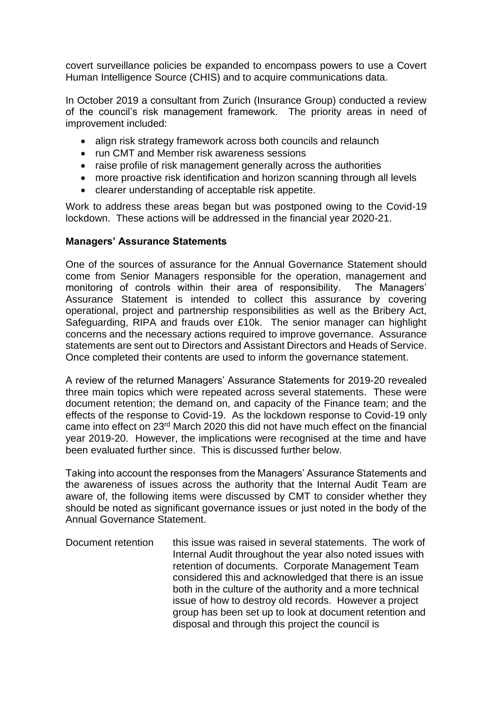covert surveillance policies be expanded to encompass powers to use a Covert Human Intelligence Source (CHIS) and to acquire communications data.

In October 2019 a consultant from Zurich (Insurance Group) conducted a review of the council's risk management framework. The priority areas in need of improvement included:

- align risk strategy framework across both councils and relaunch
- run CMT and Member risk awareness sessions
- raise profile of risk management generally across the authorities
- more proactive risk identification and horizon scanning through all levels
- clearer understanding of acceptable risk appetite.

Work to address these areas began but was postponed owing to the Covid-19 lockdown. These actions will be addressed in the financial year 2020-21.

#### **Managers' Assurance Statements**

One of the sources of assurance for the Annual Governance Statement should come from Senior Managers responsible for the operation, management and monitoring of controls within their area of responsibility. The Managers' Assurance Statement is intended to collect this assurance by covering operational, project and partnership responsibilities as well as the Bribery Act, Safeguarding, RIPA and frauds over £10k. The senior manager can highlight concerns and the necessary actions required to improve governance. Assurance statements are sent out to Directors and Assistant Directors and Heads of Service. Once completed their contents are used to inform the governance statement.

A review of the returned Managers' Assurance Statements for 2019-20 revealed three main topics which were repeated across several statements. These were document retention; the demand on, and capacity of the Finance team; and the effects of the response to Covid-19. As the lockdown response to Covid-19 only came into effect on 23rd March 2020 this did not have much effect on the financial year 2019-20. However, the implications were recognised at the time and have been evaluated further since. This is discussed further below.

Taking into account the responses from the Managers' Assurance Statements and the awareness of issues across the authority that the Internal Audit Team are aware of, the following items were discussed by CMT to consider whether they should be noted as significant governance issues or just noted in the body of the Annual Governance Statement.

Document retention this issue was raised in several statements. The work of Internal Audit throughout the year also noted issues with retention of documents. Corporate Management Team considered this and acknowledged that there is an issue both in the culture of the authority and a more technical issue of how to destroy old records. However a project group has been set up to look at document retention and disposal and through this project the council is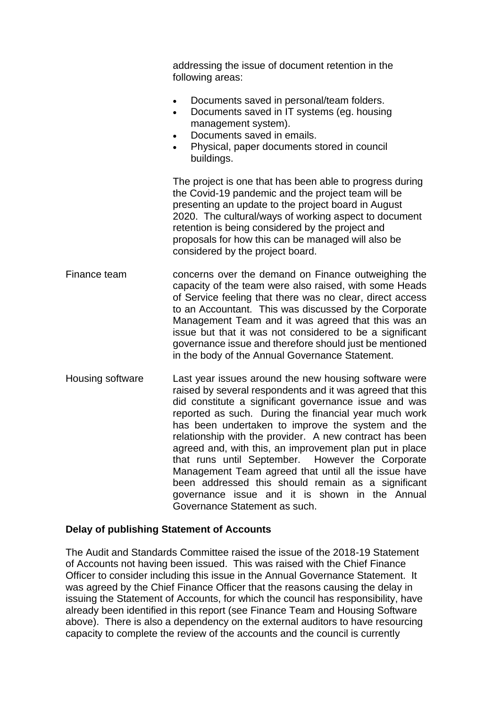addressing the issue of document retention in the following areas: • Documents saved in personal/team folders. • Documents saved in IT systems (eg. housing management system). • Documents saved in emails. • Physical, paper documents stored in council buildings. The project is one that has been able to progress during the Covid-19 pandemic and the project team will be presenting an update to the project board in August 2020. The cultural/ways of working aspect to document retention is being considered by the project and proposals for how this can be managed will also be considered by the project board. Finance team concerns over the demand on Finance outweighing the capacity of the team were also raised, with some Heads of Service feeling that there was no clear, direct access to an Accountant. This was discussed by the Corporate Management Team and it was agreed that this was an issue but that it was not considered to be a significant governance issue and therefore should just be mentioned in the body of the Annual Governance Statement. Housing software Last year issues around the new housing software were raised by several respondents and it was agreed that this did constitute a significant governance issue and was reported as such. During the financial year much work has been undertaken to improve the system and the relationship with the provider. A new contract has been agreed and, with this, an improvement plan put in place that runs until September. However the Corporate Management Team agreed that until all the issue have been addressed this should remain as a significant governance issue and it is shown in the Annual Governance Statement as such.

#### **Delay of publishing Statement of Accounts**

The Audit and Standards Committee raised the issue of the 2018-19 Statement of Accounts not having been issued. This was raised with the Chief Finance Officer to consider including this issue in the Annual Governance Statement. It was agreed by the Chief Finance Officer that the reasons causing the delay in issuing the Statement of Accounts, for which the council has responsibility, have already been identified in this report (see Finance Team and Housing Software above). There is also a dependency on the external auditors to have resourcing capacity to complete the review of the accounts and the council is currently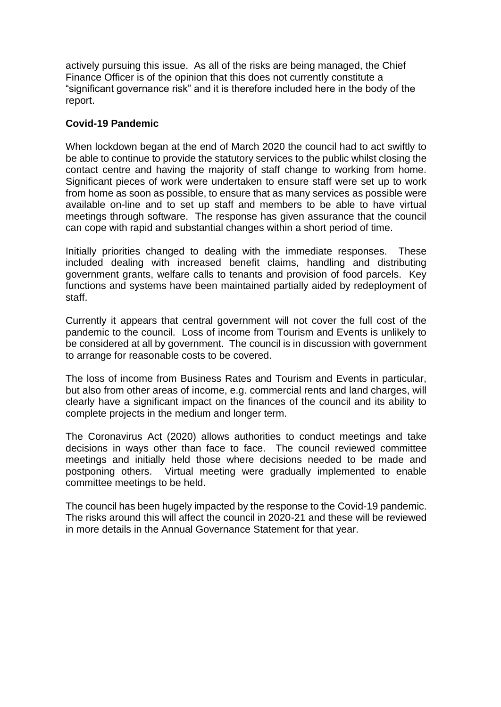actively pursuing this issue. As all of the risks are being managed, the Chief Finance Officer is of the opinion that this does not currently constitute a "significant governance risk" and it is therefore included here in the body of the report.

#### **Covid-19 Pandemic**

When lockdown began at the end of March 2020 the council had to act swiftly to be able to continue to provide the statutory services to the public whilst closing the contact centre and having the majority of staff change to working from home. Significant pieces of work were undertaken to ensure staff were set up to work from home as soon as possible, to ensure that as many services as possible were available on-line and to set up staff and members to be able to have virtual meetings through software. The response has given assurance that the council can cope with rapid and substantial changes within a short period of time.

Initially priorities changed to dealing with the immediate responses. These included dealing with increased benefit claims, handling and distributing government grants, welfare calls to tenants and provision of food parcels. Key functions and systems have been maintained partially aided by redeployment of staff.

Currently it appears that central government will not cover the full cost of the pandemic to the council. Loss of income from Tourism and Events is unlikely to be considered at all by government. The council is in discussion with government to arrange for reasonable costs to be covered.

The loss of income from Business Rates and Tourism and Events in particular, but also from other areas of income, e.g. commercial rents and land charges, will clearly have a significant impact on the finances of the council and its ability to complete projects in the medium and longer term.

The Coronavirus Act (2020) allows authorities to conduct meetings and take decisions in ways other than face to face. The council reviewed committee meetings and initially held those where decisions needed to be made and postponing others. Virtual meeting were gradually implemented to enable committee meetings to be held.

The council has been hugely impacted by the response to the Covid-19 pandemic. The risks around this will affect the council in 2020-21 and these will be reviewed in more details in the Annual Governance Statement for that year.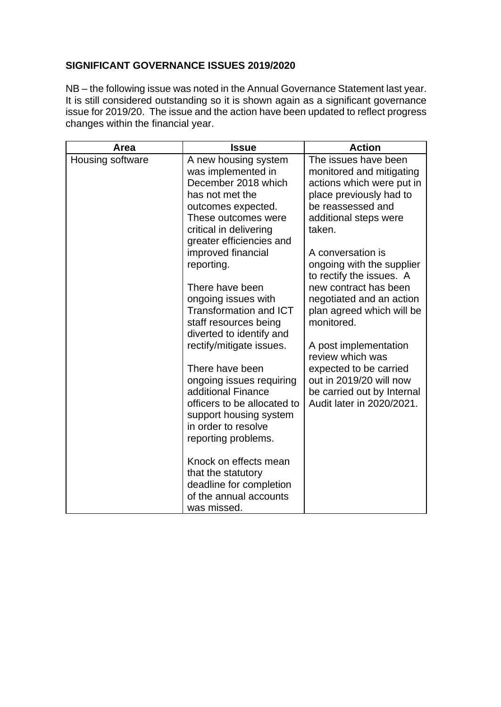## **SIGNIFICANT GOVERNANCE ISSUES 2019/2020**

NB – the following issue was noted in the Annual Governance Statement last year. It is still considered outstanding so it is shown again as a significant governance issue for 2019/20. The issue and the action have been updated to reflect progress changes within the financial year.

| Area             | <b>Issue</b>                                                                                                                                                                            | <b>Action</b>                                                                                                                                                    |
|------------------|-----------------------------------------------------------------------------------------------------------------------------------------------------------------------------------------|------------------------------------------------------------------------------------------------------------------------------------------------------------------|
| Housing software | A new housing system<br>was implemented in<br>December 2018 which<br>has not met the<br>outcomes expected.<br>These outcomes were<br>critical in delivering<br>greater efficiencies and | The issues have been<br>monitored and mitigating<br>actions which were put in<br>place previously had to<br>be reassessed and<br>additional steps were<br>taken. |
|                  | improved financial<br>reporting.                                                                                                                                                        | A conversation is<br>ongoing with the supplier<br>to rectify the issues. A                                                                                       |
|                  | There have been<br>ongoing issues with<br><b>Transformation and ICT</b><br>staff resources being<br>diverted to identify and                                                            | new contract has been<br>negotiated and an action<br>plan agreed which will be<br>monitored.                                                                     |
|                  | rectify/mitigate issues.                                                                                                                                                                | A post implementation<br>review which was                                                                                                                        |
|                  | There have been<br>ongoing issues requiring<br>additional Finance<br>officers to be allocated to<br>support housing system<br>in order to resolve<br>reporting problems.                | expected to be carried<br>out in 2019/20 will now<br>be carried out by Internal<br>Audit later in 2020/2021.                                                     |
|                  | Knock on effects mean<br>that the statutory<br>deadline for completion<br>of the annual accounts<br>was missed.                                                                         |                                                                                                                                                                  |